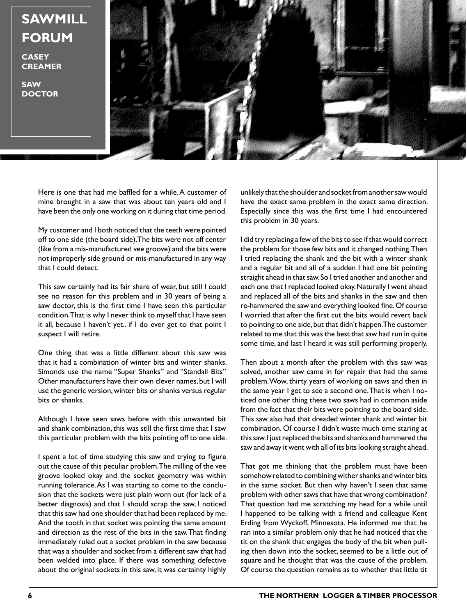**SAWMILL FORUM**

**CASEY CREAMER**

**SAW DOCTOR**



Here is one that had me baffled for a while. A customer of mine brought in a saw that was about ten years old and I have been the only one working on it during that time period.

My customer and I both noticed that the teeth were pointed off to one side (the board side). The bits were not off center (like from a mis-manufactured vee groove) and the bits were not improperly side ground or mis-manufactured in any way that I could detect.

This saw certainly had its fair share of wear, but still I could see no reason for this problem and in 30 years of being a saw doctor, this is the first time I have seen this particular condition. That is why I never think to myself that I have seen it all, because I haven't yet.. if I do ever get to that point I suspect I will retire.

One thing that was a little different about this saw was that it had a combination of winter bits and winter shanks. Simonds use the name "Super Shanks" and "Standall Bits" Other manufacturers have their own clever names, but I will use the generic version, winter bits or shanks versus regular bits or shanks.

Although I have seen saws before with this unwanted bit and shank combination, this was still the first time that I saw this particular problem with the bits pointing off to one side.

I spent a lot of time studying this saw and trying to figure out the cause of this peculiar problem. The milling of the vee groove looked okay and the socket geometry was within running tolerance. As I was starting to come to the conclusion that the sockets were just plain worn out (for lack of a better diagnosis) and that I should scrap the saw, I noticed that this saw had one shoulder that had been replaced by me. And the tooth in that socket was pointing the same amount and direction as the rest of the bits in the saw. That finding immediately ruled out a socket problem in the saw because that was a shoulder and socket from a different saw that had been welded into place. If there was something defective about the original sockets in this saw, it was certainty highly

unlikely that the shoulder and socket from another saw would have the exact same problem in the exact same direction. Especially since this was the first time I had encountered this problem in 30 years.

I did try replacing a few of the bits to see if that would correct the problem for those few bits and it changed nothing. Then I tried replacing the shank and the bit with a winter shank and a regular bit and all of a sudden I had one bit pointing straight ahead in that saw. So I tried another and another and each one that I replaced looked okay. Naturally I went ahead and replaced all of the bits and shanks in the saw and then re-hammered the saw and everything looked fine. Of course I worried that after the first cut the bits would revert back to pointing to one side, but that didn't happen. The customer related to me that this was the best that saw had run in quite some time, and last I heard it was still performing properly.

Then about a month after the problem with this saw was solved, another saw came in for repair that had the same problem. Wow, thirty years of working on saws and then in the same year I get to see a second one. That is when I noticed one other thing these two saws had in common aside from the fact that their bits were pointing to the board side. This saw also had that dreaded winter shank and winter bit combination. Of course I didn't waste much time staring at this saw. I just replaced the bits and shanks and hammered the saw and away it went with all of its bits looking straight ahead.

That got me thinking that the problem must have been somehow related to combining wither shanks and winter bits in the same socket. But then why haven't I seen that same problem with other saws that have that wrong combination? That question had me scratching my head for a while until I happened to be talking with a friend and colleague Kent Erding from Wyckoff, Minnesota. He informed me that he ran into a similar problem only that he had noticed that the tit on the shank that engages the body of the bit when pulling then down into the socket, seemed to be a little out of square and he thought that was the cause of the problem. Of course the question remains as to whether that little tit